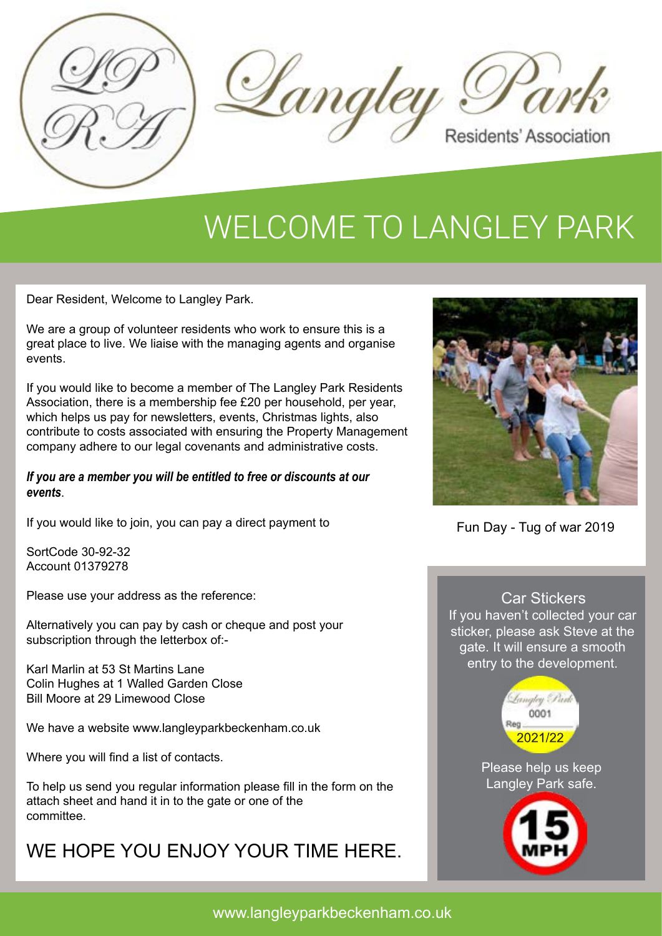



## WELCOME TO LANGLEY PARK

Dear Resident, Welcome to Langley Park.

We are a group of volunteer residents who work to ensure this is a great place to live. We liaise with the managing agents and organise events.

If you would like to become a member of The Langley Park Residents Association, there is a membership fee £20 per household, per year, which helps us pay for newsletters, events, Christmas lights, also contribute to costs associated with ensuring the Property Management company adhere to our legal covenants and administrative costs.

#### *If you are a member you will be entitled to free or discounts at our events*.

If you would like to join, you can pay a direct payment to

SortCode 30-92-32 Account 01379278

Please use your address as the reference:

Alternatively you can pay by cash or cheque and post your subscription through the letterbox of:-

Karl Marlin at 53 St Martins Lane Colin Hughes at 1 Walled Garden Close Bill Moore at 29 Limewood Close

We have a website www.langleyparkbeckenham.co.uk

Where you will find a list of contacts.

To help us send you regular information please fill in the form on the attach sheet and hand it in to the gate or one of the committee.

### WE HOPE YOU ENJOY YOUR TIME HERE.



Fun Day - Tug of war 2019

Car Stickers If you haven't collected your car sticker, please ask Steve at the gate. It will ensure a smooth entry to the development.



Please help us keep Langley Park safe.

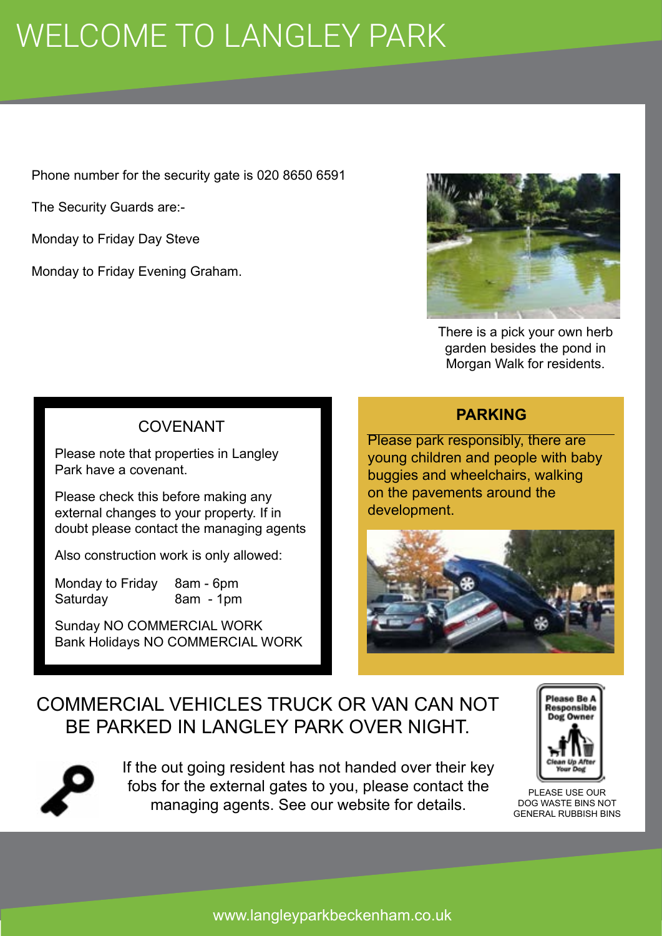# WELCOME TO LANGLEY PARK

Phone number for the security gate is 020 8650 6591

The Security Guards are:-

Monday to Friday Day Steve

Monday to Friday Evening Graham.



There is a pick your own herb garden besides the pond in Morgan Walk for residents.

#### COVENANT

Please note that properties in Langley Park have a covenant.

Please check this before making any external changes to your property. If in doubt please contact the managing agents

Also construction work is only allowed:

Monday to Friday 8am - 6pm Saturday 8am - 1pm

Sunday NO COMMERCIAL WORK Bank Holidays NO COMMERCIAL WORK

#### **PARKING**

Please park responsibly, there are young children and people with baby buggies and wheelchairs, walking on the pavements around the development.



### COMMERCIAL VEHICLES TRUCK OR VAN CAN NOT BE PARKED IN LANGLEY PARK OVER NIGHT.



If the out going resident has not handed over their key fobs for the external gates to you, please contact the managing agents. See our website for details.



PLEASE USE OUR DOG WASTE BINS NOT GENERAL RUBBISH BINS